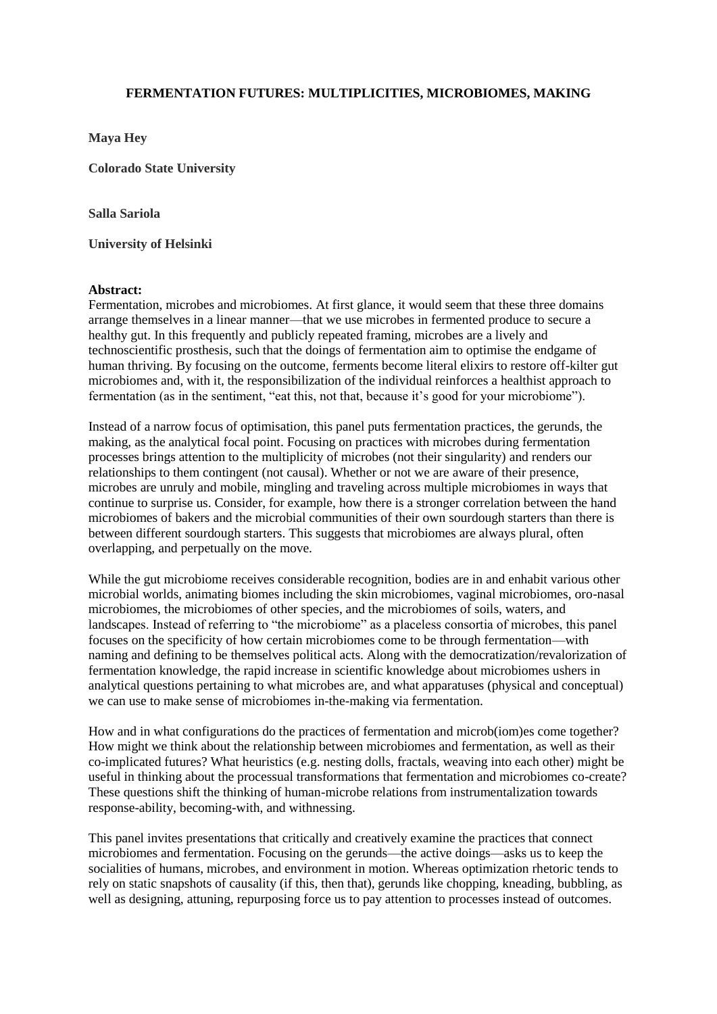## **FERMENTATION FUTURES: MULTIPLICITIES, MICROBIOMES, MAKING**

**Maya Hey**

**Colorado State University**

**Salla Sariola**

**University of Helsinki** 

## **Abstract:**

Fermentation, microbes and microbiomes. At first glance, it would seem that these three domains arrange themselves in a linear manner—that we use microbes in fermented produce to secure a healthy gut. In this frequently and publicly repeated framing, microbes are a lively and technoscientific prosthesis, such that the doings of fermentation aim to optimise the endgame of human thriving. By focusing on the outcome, ferments become literal elixirs to restore off-kilter gut microbiomes and, with it, the responsibilization of the individual reinforces a healthist approach to fermentation (as in the sentiment, "eat this, not that, because it's good for your microbiome").

Instead of a narrow focus of optimisation, this panel puts fermentation practices, the gerunds, the making, as the analytical focal point. Focusing on practices with microbes during fermentation processes brings attention to the multiplicity of microbes (not their singularity) and renders our relationships to them contingent (not causal). Whether or not we are aware of their presence, microbes are unruly and mobile, mingling and traveling across multiple microbiomes in ways that continue to surprise us. Consider, for example, how there is a stronger correlation between the hand microbiomes of bakers and the microbial communities of their own sourdough starters than there is between different sourdough starters. This suggests that microbiomes are always plural, often overlapping, and perpetually on the move.

While the gut microbiome receives considerable recognition, bodies are in and enhabit various other microbial worlds, animating biomes including the skin microbiomes, vaginal microbiomes, oro-nasal microbiomes, the microbiomes of other species, and the microbiomes of soils, waters, and landscapes. Instead of referring to "the microbiome" as a placeless consortia of microbes, this panel focuses on the specificity of how certain microbiomes come to be through fermentation—with naming and defining to be themselves political acts. Along with the democratization/revalorization of fermentation knowledge, the rapid increase in scientific knowledge about microbiomes ushers in analytical questions pertaining to what microbes are, and what apparatuses (physical and conceptual) we can use to make sense of microbiomes in-the-making via fermentation.

How and in what configurations do the practices of fermentation and microb(iom)es come together? How might we think about the relationship between microbiomes and fermentation, as well as their co-implicated futures? What heuristics (e.g. nesting dolls, fractals, weaving into each other) might be useful in thinking about the processual transformations that fermentation and microbiomes co-create? These questions shift the thinking of human-microbe relations from instrumentalization towards response-ability, becoming-with, and withnessing.

This panel invites presentations that critically and creatively examine the practices that connect microbiomes and fermentation. Focusing on the gerunds—the active doings—asks us to keep the socialities of humans, microbes, and environment in motion. Whereas optimization rhetoric tends to rely on static snapshots of causality (if this, then that), gerunds like chopping, kneading, bubbling, as well as designing, attuning, repurposing force us to pay attention to processes instead of outcomes.